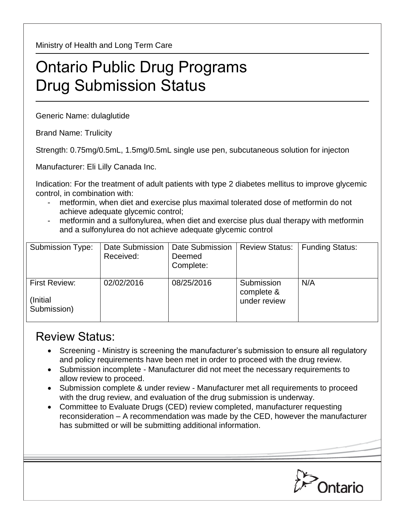Ministry of Health and Long Term Care

## Ontario Public Drug Programs Drug Submission Status

Generic Name: dulaglutide

Brand Name: Trulicity

Strength: 0.75mg/0.5mL, 1.5mg/0.5mL single use pen, subcutaneous solution for injecton

Manufacturer: Eli Lilly Canada Inc.

Indication: For the treatment of adult patients with type 2 diabetes mellitus to improve glycemic control, in combination with:

- metformin, when diet and exercise plus maximal tolerated dose of metformin do not achieve adequate glycemic control;
- metformin and a sulfonylurea, when diet and exercise plus dual therapy with metformin and a sulfonylurea do not achieve adequate glycemic control

| Submission Type:                                 | Date Submission<br>Received: | Date Submission<br>Deemed<br>Complete: | <b>Review Status:</b>                    | <b>Funding Status:</b> |
|--------------------------------------------------|------------------------------|----------------------------------------|------------------------------------------|------------------------|
| <b>First Review:</b><br>(Initial)<br>Submission) | 02/02/2016                   | 08/25/2016                             | Submission<br>complete &<br>under review | N/A                    |

## Review Status:

- Screening Ministry is screening the manufacturer's submission to ensure all regulatory and policy requirements have been met in order to proceed with the drug review.
- Submission incomplete Manufacturer did not meet the necessary requirements to allow review to proceed.
- Submission complete & under review Manufacturer met all requirements to proceed with the drug review, and evaluation of the drug submission is underway.
- Committee to Evaluate Drugs (CED) review completed, manufacturer requesting reconsideration – A recommendation was made by the CED, however the manufacturer has submitted or will be submitting additional information.